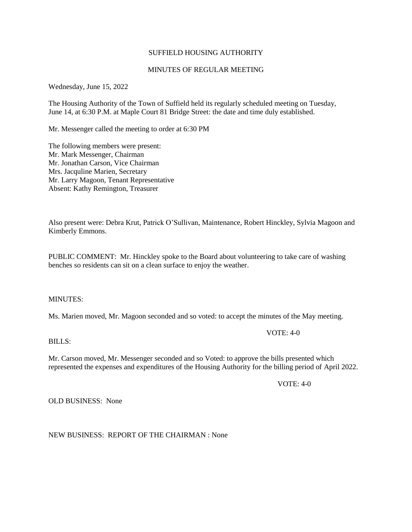# SUFFIELD HOUSING AUTHORITY

### MINUTES OF REGULAR MEETING

Wednesday, June 15, 2022

The Housing Authority of the Town of Suffield held its regularly scheduled meeting on Tuesday, June 14, at 6:30 P.M. at Maple Court 81 Bridge Street: the date and time duly established.

Mr. Messenger called the meeting to order at 6:30 PM

The following members were present: Mr. Mark Messenger, Chairman Mr. Jonathan Carson, Vice Chairman Mrs. Jacquline Marien, Secretary Mr. Larry Magoon, Tenant Representative Absent: Kathy Remington, Treasurer

Also present were: Debra Krut, Patrick O'Sullivan, Maintenance, Robert Hinckley, Sylvia Magoon and Kimberly Emmons.

PUBLIC COMMENT: Mr. Hinckley spoke to the Board about volunteering to take care of washing benches so residents can sit on a clean surface to enjoy the weather.

#### MINUTES:

Ms. Marien moved, Mr. Magoon seconded and so voted: to accept the minutes of the May meeting.

VOTE: 4-0

#### BILLS:

Mr. Carson moved, Mr. Messenger seconded and so Voted: to approve the bills presented which represented the expenses and expenditures of the Housing Authority for the billing period of April 2022.

VOTE: 4-0

OLD BUSINESS: None

NEW BUSINESS: REPORT OF THE CHAIRMAN : None